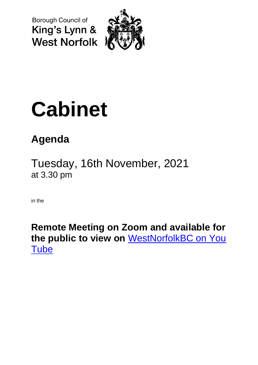Borough Council of King's Lynn & **West Norfolk** 



# **Cabinet**

## **Agenda**

Tuesday, 16th November, 2021 at 3.30 pm

in the

**Remote Meeting on Zoom and available for the public to view on** [WestNorfolkBC on You](https://www.youtube.com/user/WestNorfolkBC)  **[Tube](https://www.youtube.com/user/WestNorfolkBC)**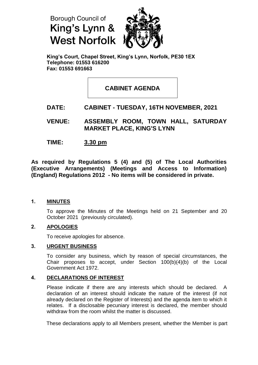



**King's Court, Chapel Street, King's Lynn, Norfolk, PE30 1EX Telephone: 01553 616200 Fax: 01553 691663**

**CABINET AGENDA**

### **DATE: CABINET - TUESDAY, 16TH NOVEMBER, 2021**

**VENUE: ASSEMBLY ROOM, TOWN HALL, SATURDAY MARKET PLACE, KING'S LYNN**

**TIME: 3.30 pm**

**As required by Regulations 5 (4) and (5) of The Local Authorities (Executive Arrangements) (Meetings and Access to Information) (England) Regulations 2012 - No items will be considered in private.**

#### **1. MINUTES**

To approve the Minutes of the Meetings held on 21 September and 20 October 2021 (previously circulated).

#### **2. APOLOGIES**

To receive apologies for absence.

#### **3. URGENT BUSINESS**

To consider any business, which by reason of special circumstances, the Chair proposes to accept, under Section 100(b)(4)(b) of the Local Government Act 1972.

#### **4. DECLARATIONS OF INTEREST**

Please indicate if there are any interests which should be declared. A declaration of an interest should indicate the nature of the interest (if not already declared on the Register of Interests) and the agenda item to which it relates. If a disclosable pecuniary interest is declared, the member should withdraw from the room whilst the matter is discussed.

These declarations apply to all Members present, whether the Member is part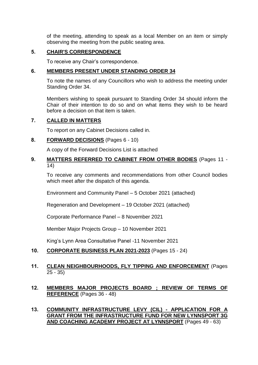of the meeting, attending to speak as a local Member on an item or simply observing the meeting from the public seating area.

#### **5. CHAIR'S CORRESPONDENCE**

To receive any Chair's correspondence.

#### **6. MEMBERS PRESENT UNDER STANDING ORDER 34**

To note the names of any Councillors who wish to address the meeting under Standing Order 34.

Members wishing to speak pursuant to Standing Order 34 should inform the Chair of their intention to do so and on what items they wish to be heard before a decision on that item is taken.

#### **7. CALLED IN MATTERS**

To report on any Cabinet Decisions called in.

#### **8. FORWARD DECISIONS** (Pages 6 - 10)

A copy of the Forward Decisions List is attached

#### **9. MATTERS REFERRED TO CABINET FROM OTHER BODIES** (Pages 11 - 14)

To receive any comments and recommendations from other Council bodies which meet after the dispatch of this agenda.

Environment and Community Panel – 5 October 2021 (attached)

Regeneration and Development – 19 October 2021 (attached)

Corporate Performance Panel – 8 November 2021

Member Major Projects Group – 10 November 2021

King's Lynn Area Consultative Panel -11 November 2021

#### **10. CORPORATE BUSINESS PLAN 2021-2023** (Pages 15 - 24)

#### **11. CLEAN NEIGHBOURHOODS, FLY TIPPING AND ENFORCEMENT** (Pages 25 - 35)

#### **12. MEMBERS MAJOR PROJECTS BOARD ; REVIEW OF TERMS OF REFERENCE** (Pages 36 - 48)

#### **13. COMMUNITY INFRASTRUCTURE LEVY (CIL) - APPLICATION FOR A GRANT FROM THE INFRASTRUCTURE FUND FOR NEW LYNNSPORT 3G AND COACHING ACADEMY PROJECT AT LYNNSPORT** (Pages 49 - 63)